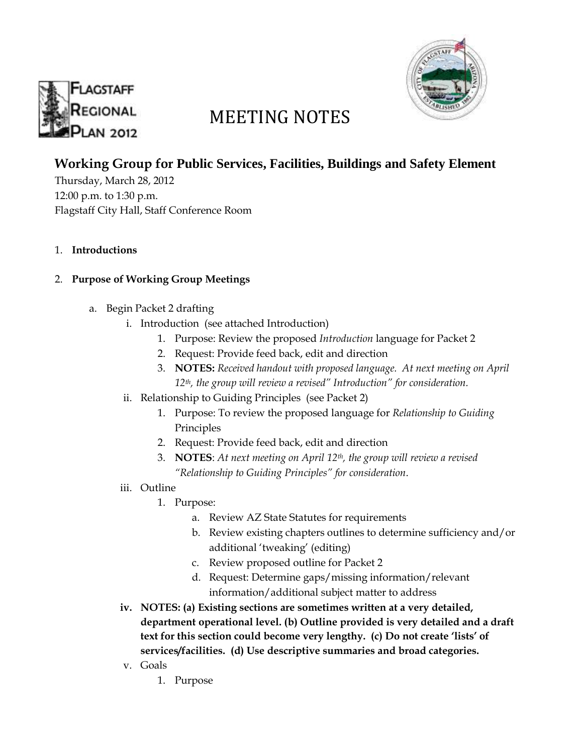



# MEETING NOTES

## **Working Group for Public Services, Facilities, Buildings and Safety Element**

Thursday, March 28, 2012 12:00 p.m. to 1:30 p.m. Flagstaff City Hall, Staff Conference Room

1. **Introductions**

#### 2. **Purpose of Working Group Meetings**

- a. Begin Packet 2 drafting
	- i. Introduction (see attached Introduction)
		- 1. Purpose: Review the proposed *Introduction* language for Packet 2
		- 2. Request: Provide feed back, edit and direction
		- 3. **NOTES:** *Received handout with proposed language. At next meeting on April 12th, the group will review a revised" Introduction" for consideration.*
	- ii. Relationship to Guiding Principles (see Packet 2)
		- 1. Purpose: To review the proposed language for *Relationship to Guiding* Principles
		- 2. Request: Provide feed back, edit and direction
		- 3. **NOTES**: *At next meeting on April 12th, the group will review a revised "Relationship to Guiding Principles" for consideration*.
	- iii. Outline
		- 1. Purpose:
			- a. Review AZ State Statutes for requirements
			- b. Review existing chapters outlines to determine sufficiency and/or additional 'tweaking' (editing)
			- c. Review proposed outline for Packet 2
			- d. Request: Determine gaps/missing information/relevant information/additional subject matter to address
	- **iv. NOTES: (a) Existing sections are sometimes written at a very detailed, department operational level. (b) Outline provided is very detailed and a draft text for this section could become very lengthy. (c) Do not create 'lists' of services/facilities. (d) Use descriptive summaries and broad categories.**
	- v. Goals
		- 1. Purpose